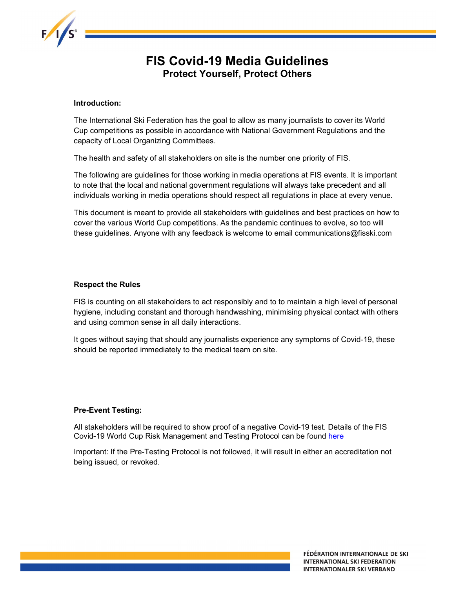

# FIS Covid-19 Media Guidelines Protect Yourself, Protect Others

#### Introduction:

The International Ski Federation has the goal to allow as many journalists to cover its World Cup competitions as possible in accordance with National Government Regulations and the capacity of Local Organizing Committees.

The health and safety of all stakeholders on site is the number one priority of FIS.

The following are guidelines for those working in media operations at FIS events. It is important to note that the local and national government regulations will always take precedent and all individuals working in media operations should respect all regulations in place at every venue.

This document is meant to provide all stakeholders with guidelines and best practices on how to cover the various World Cup competitions. As the pandemic continues to evolve, so too will these guidelines. Anyone with any feedback is welcome to email communications@fisski.com

#### Respect the Rules

FIS is counting on all stakeholders to act responsibly and to to maintain a high level of personal hygiene, including constant and thorough handwashing, minimising physical contact with others and using common sense in all daily interactions.

It goes without saying that should any journalists experience any symptoms of Covid-19, these should be reported immediately to the medical team on site.

#### Pre-Event Testing:

All stakeholders will be required to show proof of a negative Covid-19 test. Details of the FIS Covid-19 World Cup Risk Management and Testing Protocol can be found here

Important: If the Pre-Testing Protocol is not followed, it will result in either an accreditation not being issued, or revoked.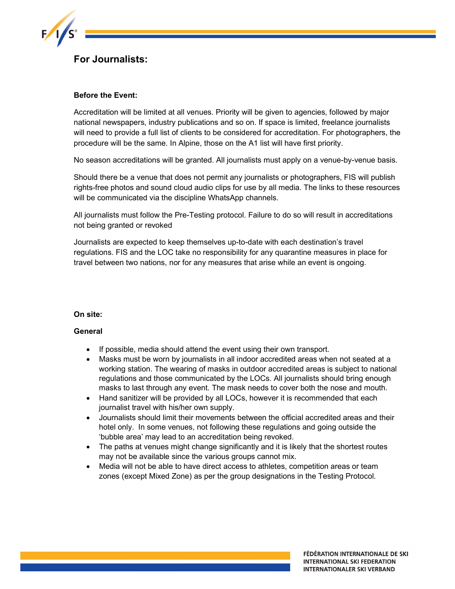

## For Journalists:

#### Before the Event:

Accreditation will be limited at all venues. Priority will be given to agencies, followed by major national newspapers, industry publications and so on. If space is limited, freelance journalists will need to provide a full list of clients to be considered for accreditation. For photographers, the procedure will be the same. In Alpine, those on the A1 list will have first priority.

No season accreditations will be granted. All journalists must apply on a venue-by-venue basis.

Should there be a venue that does not permit any journalists or photographers, FIS will publish rights-free photos and sound cloud audio clips for use by all media. The links to these resources will be communicated via the discipline WhatsApp channels.

All journalists must follow the Pre-Testing protocol. Failure to do so will result in accreditations not being granted or revoked

Journalists are expected to keep themselves up-to-date with each destination's travel regulations. FIS and the LOC take no responsibility for any quarantine measures in place for travel between two nations, nor for any measures that arise while an event is ongoing.

#### On site:

#### **General**

- If possible, media should attend the event using their own transport.
- Masks must be worn by journalists in all indoor accredited areas when not seated at a working station. The wearing of masks in outdoor accredited areas is subject to national regulations and those communicated by the LOCs. All journalists should bring enough masks to last through any event. The mask needs to cover both the nose and mouth.
- Hand sanitizer will be provided by all LOCs, however it is recommended that each journalist travel with his/her own supply.
- Journalists should limit their movements between the official accredited areas and their hotel only. In some venues, not following these regulations and going outside the 'bubble area' may lead to an accreditation being revoked.
- The paths at venues might change significantly and it is likely that the shortest routes may not be available since the various groups cannot mix.
- Media will not be able to have direct access to athletes, competition areas or team zones (except Mixed Zone) as per the group designations in the Testing Protocol.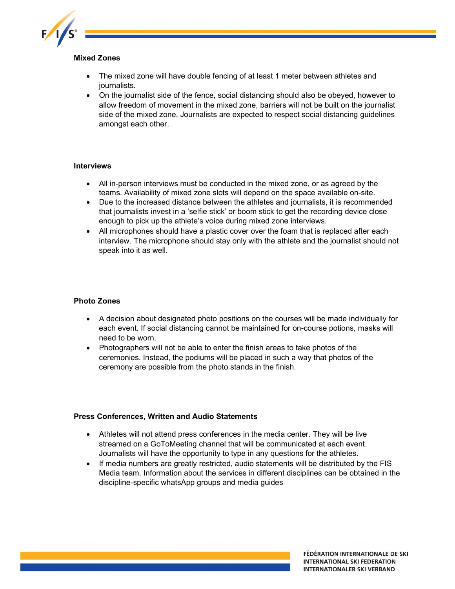

### Mixed Zones

- The mixed zone will have double fencing of at least 1 meter between athletes and journalists.
- On the journalist side of the fence, social distancing should also be obeyed, however to allow freedom of movement in the mixed zone, barriers will not be built on the journalist side of the mixed zone, Journalists are expected to respect social distancing guidelines amongst each other.

#### Interviews

- All in-person interviews must be conducted in the mixed zone, or as agreed by the teams. Availability of mixed zone slots will depend on the space available on-site.
- Due to the increased distance between the athletes and journalists, it is recommended that journalists invest in a 'selfie stick' or boom stick to get the recording device close enough to pick up the athlete's voice during mixed zone interviews.
- All microphones should have a plastic cover over the foam that is replaced after each interview. The microphone should stay only with the athlete and the journalist should not speak into it as well.

### Photo Zones

- A decision about designated photo positions on the courses will be made individually for each event. If social distancing cannot be maintained for on-course potions, masks will need to be worn.
- Photographers will not be able to enter the finish areas to take photos of the ceremonies. Instead, the podiums will be placed in such a way that photos of the ceremony are possible from the photo stands in the finish.

#### Press Conferences, Written and Audio Statements

- Athletes will not attend press conferences in the media center. They will be live streamed on a GoToMeeting channel that will be communicated at each event. Journalists will have the opportunity to type in any questions for the athletes.
- If media numbers are greatly restricted, audio statements will be distributed by the FIS Media team. Information about the services in different disciplines can be obtained in the discipline-specific whatsApp groups and media guides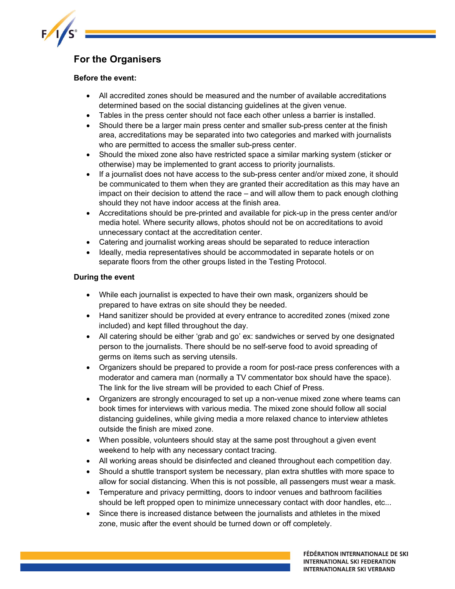

## For the Organisers

### Before the event:

- All accredited zones should be measured and the number of available accreditations determined based on the social distancing guidelines at the given venue.
- Tables in the press center should not face each other unless a barrier is installed.
- Should there be a larger main press center and smaller sub-press center at the finish area, accreditations may be separated into two categories and marked with journalists who are permitted to access the smaller sub-press center.
- Should the mixed zone also have restricted space a similar marking system (sticker or otherwise) may be implemented to grant access to priority journalists.
- If a journalist does not have access to the sub-press center and/or mixed zone, it should be communicated to them when they are granted their accreditation as this may have an impact on their decision to attend the race – and will allow them to pack enough clothing should they not have indoor access at the finish area.
- Accreditations should be pre-printed and available for pick-up in the press center and/or media hotel. Where security allows, photos should not be on accreditations to avoid unnecessary contact at the accreditation center.
- Catering and journalist working areas should be separated to reduce interaction
- Ideally, media representatives should be accommodated in separate hotels or on separate floors from the other groups listed in the Testing Protocol.

## During the event

- While each journalist is expected to have their own mask, organizers should be prepared to have extras on site should they be needed.
- Hand sanitizer should be provided at every entrance to accredited zones (mixed zone included) and kept filled throughout the day.
- All catering should be either 'grab and go' ex: sandwiches or served by one designated person to the journalists. There should be no self-serve food to avoid spreading of germs on items such as serving utensils.
- Organizers should be prepared to provide a room for post-race press conferences with a moderator and camera man (normally a TV commentator box should have the space). The link for the live stream will be provided to each Chief of Press.
- Organizers are strongly encouraged to set up a non-venue mixed zone where teams can book times for interviews with various media. The mixed zone should follow all social distancing guidelines, while giving media a more relaxed chance to interview athletes outside the finish are mixed zone.
- When possible, volunteers should stay at the same post throughout a given event weekend to help with any necessary contact tracing.
- All working areas should be disinfected and cleaned throughout each competition day.
- Should a shuttle transport system be necessary, plan extra shuttles with more space to allow for social distancing. When this is not possible, all passengers must wear a mask.
- Temperature and privacy permitting, doors to indoor venues and bathroom facilities should be left propped open to minimize unnecessary contact with door handles, etc...
- Since there is increased distance between the journalists and athletes in the mixed zone, music after the event should be turned down or off completely.